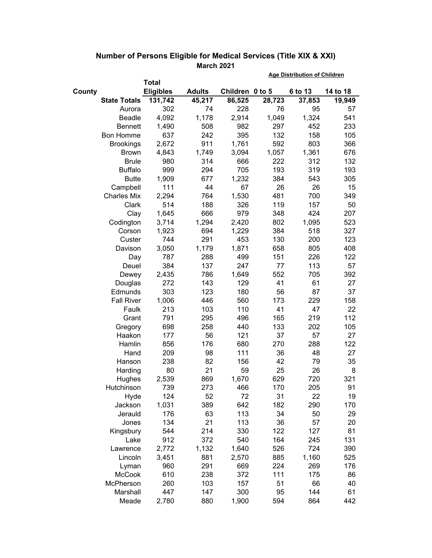|                     |                  |               | <b>Age Distribution of Children</b> |        |         |          |  |
|---------------------|------------------|---------------|-------------------------------------|--------|---------|----------|--|
|                     | <b>Total</b>     |               |                                     |        |         |          |  |
| County              | <b>Eligibles</b> | <b>Adults</b> | Children 0 to 5                     |        | 6 to 13 | 14 to 18 |  |
| <b>State Totals</b> | 131,742          | 45,217        | 86,525                              | 28,723 | 37,853  | 19,949   |  |
| Aurora              | 302              | 74            | 228                                 | 76     | 95      | 57       |  |
| <b>Beadle</b>       | 4,092            | 1,178         | 2,914                               | 1,049  | 1,324   | 541      |  |
| <b>Bennett</b>      | 1,490            | 508           | 982                                 | 297    | 452     | 233      |  |
| <b>Bon Homme</b>    | 637              | 242           | 395                                 | 132    | 158     | 105      |  |
| <b>Brookings</b>    | 2,672            | 911           | 1,761                               | 592    | 803     | 366      |  |
| <b>Brown</b>        | 4,843            | 1,749         | 3,094                               | 1,057  | 1,361   | 676      |  |
| <b>Brule</b>        | 980              | 314           | 666                                 | 222    | 312     | 132      |  |
| <b>Buffalo</b>      | 999              | 294           | 705                                 | 193    | 319     | 193      |  |
| <b>Butte</b>        | 1,909            | 677           | 1,232                               | 384    | 543     | 305      |  |
| Campbell            | 111              | 44            | 67                                  | 26     | 26      | 15       |  |
| <b>Charles Mix</b>  | 2,294            | 764           | 1,530                               | 481    | 700     | 349      |  |
| Clark               | 514              | 188           | 326                                 | 119    | 157     | 50       |  |
| Clay                | 1,645            | 666           | 979                                 | 348    | 424     | 207      |  |
| Codington           | 3,714            | 1,294         | 2,420                               | 802    | 1,095   | 523      |  |
| Corson              | 1,923            | 694           | 1,229                               | 384    | 518     | 327      |  |
| Custer              | 744              | 291           | 453                                 | 130    | 200     | 123      |  |
| Davison             | 3,050            | 1,179         | 1,871                               | 658    | 805     | 408      |  |
| Day                 | 787              | 288           | 499                                 | 151    | 226     | 122      |  |
| Deuel               | 384              | 137           | 247                                 | 77     | 113     | 57       |  |
| Dewey               | 2,435            | 786           | 1,649                               | 552    | 705     | 392      |  |
| Douglas             | 272              | 143           | 129                                 | 41     | 61      | 27       |  |
| Edmunds             | 303              | 123           | 180                                 | 56     | 87      | 37       |  |
| <b>Fall River</b>   | 1,006            | 446           | 560                                 | 173    | 229     | 158      |  |
| Faulk               | 213              | 103           | 110                                 | 41     | 47      | 22       |  |
| Grant               | 791              | 295           | 496                                 | 165    | 219     | 112      |  |
| Gregory             | 698              | 258           | 440                                 | 133    | 202     | 105      |  |
| Haakon              | 177              | 56            | 121                                 | 37     | 57      | 27       |  |
| Hamlin              | 856              | 176           | 680                                 | 270    | 288     | 122      |  |
| Hand                | 209              | 98            | 111                                 | 36     | 48      | 27       |  |
| Hanson              | 238              | 82            | 156                                 | 42     | 79      | 35       |  |
| Harding             | 80               | 21            | 59                                  | 25     | 26      | 8        |  |
| Hughes              | 2,539            | 869           | 1,670                               | 629    | 720     | 321      |  |
| Hutchinson          | 739              | 273           | 466                                 | 170    | 205     | 91       |  |
| Hyde                | 124              | 52            | 72                                  | 31     | 22      | 19       |  |
| Jackson             | 1,031            | 389           | 642                                 | 182    | 290     | 170      |  |
| Jerauld             | 176              | 63            | 113                                 | 34     | 50      | 29       |  |
| Jones               | 134              | 21            | 113                                 | 36     | 57      | 20       |  |
| Kingsbury           | 544              | 214           | 330                                 | 122    | 127     | 81       |  |
| Lake                | 912              | 372           | 540                                 | 164    | 245     | 131      |  |
| Lawrence            | 2,772            | 1,132         | 1,640                               | 526    | 724     | 390      |  |
| Lincoln             | 3,451            | 881           | 2,570                               | 885    | 1,160   | 525      |  |
| Lyman               | 960              | 291           | 669                                 | 224    | 269     | 176      |  |
| <b>McCook</b>       | 610              | 238           | 372                                 | 111    | 175     | 86       |  |
| McPherson           | 260              | 103           | 157                                 | 51     | 66      | 40       |  |
| Marshall            | 447              | 147           | 300                                 | 95     | 144     | 61       |  |
| Meade               | 2,780            | 880           | 1,900                               | 594    | 864     | 442      |  |

## **Number of Persons Eligible for Medical Services (Title XIX & XXI) March 2021**